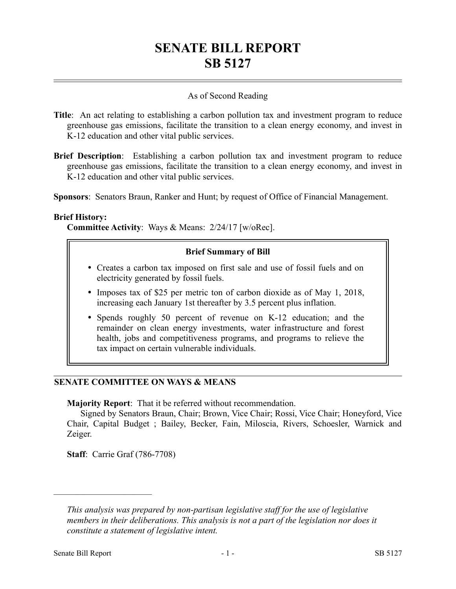# **SENATE BILL REPORT SB 5127**

### As of Second Reading

- **Title**: An act relating to establishing a carbon pollution tax and investment program to reduce greenhouse gas emissions, facilitate the transition to a clean energy economy, and invest in K-12 education and other vital public services.
- **Brief Description**: Establishing a carbon pollution tax and investment program to reduce greenhouse gas emissions, facilitate the transition to a clean energy economy, and invest in K-12 education and other vital public services.

**Sponsors**: Senators Braun, Ranker and Hunt; by request of Office of Financial Management.

#### **Brief History:**

**Committee Activity**: Ways & Means: 2/24/17 [w/oRec].

#### **Brief Summary of Bill**

- Creates a carbon tax imposed on first sale and use of fossil fuels and on electricity generated by fossil fuels.
- Imposes tax of \$25 per metric ton of carbon dioxide as of May 1, 2018, increasing each January 1st thereafter by 3.5 percent plus inflation.
- Spends roughly 50 percent of revenue on K-12 education; and the remainder on clean energy investments, water infrastructure and forest health, jobs and competitiveness programs, and programs to relieve the tax impact on certain vulnerable individuals.

## **SENATE COMMITTEE ON WAYS & MEANS**

**Majority Report**: That it be referred without recommendation.

Signed by Senators Braun, Chair; Brown, Vice Chair; Rossi, Vice Chair; Honeyford, Vice Chair, Capital Budget ; Bailey, Becker, Fain, Miloscia, Rivers, Schoesler, Warnick and Zeiger.

**Staff**: Carrie Graf (786-7708)

––––––––––––––––––––––

*This analysis was prepared by non-partisan legislative staff for the use of legislative members in their deliberations. This analysis is not a part of the legislation nor does it constitute a statement of legislative intent.*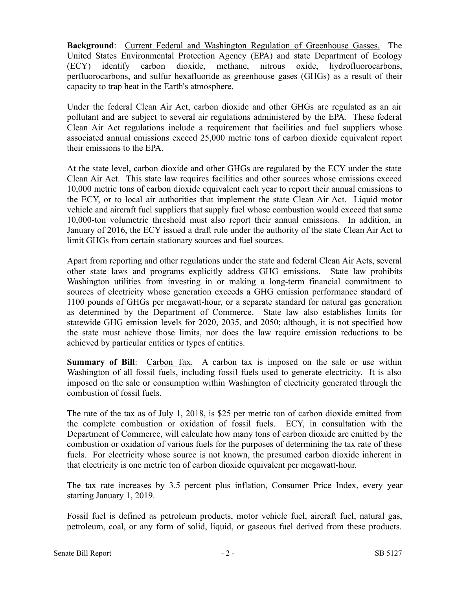**Background**: Current Federal and Washington Regulation of Greenhouse Gasses. The United States Environmental Protection Agency (EPA) and state Department of Ecology (ECY) identify carbon dioxide, methane, nitrous oxide, hydrofluorocarbons, perfluorocarbons, and sulfur hexafluoride as greenhouse gases (GHGs) as a result of their capacity to trap heat in the Earth's atmosphere.

Under the federal Clean Air Act, carbon dioxide and other GHGs are regulated as an air pollutant and are subject to several air regulations administered by the EPA. These federal Clean Air Act regulations include a requirement that facilities and fuel suppliers whose associated annual emissions exceed 25,000 metric tons of carbon dioxide equivalent report their emissions to the EPA.

At the state level, carbon dioxide and other GHGs are regulated by the ECY under the state Clean Air Act. This state law requires facilities and other sources whose emissions exceed 10,000 metric tons of carbon dioxide equivalent each year to report their annual emissions to the ECY, or to local air authorities that implement the state Clean Air Act. Liquid motor vehicle and aircraft fuel suppliers that supply fuel whose combustion would exceed that same 10,000-ton volumetric threshold must also report their annual emissions. In addition, in January of 2016, the ECY issued a draft rule under the authority of the state Clean Air Act to limit GHGs from certain stationary sources and fuel sources.

Apart from reporting and other regulations under the state and federal Clean Air Acts, several other state laws and programs explicitly address GHG emissions. State law prohibits Washington utilities from investing in or making a long-term financial commitment to sources of electricity whose generation exceeds a GHG emission performance standard of 1100 pounds of GHGs per megawatt-hour, or a separate standard for natural gas generation as determined by the Department of Commerce. State law also establishes limits for statewide GHG emission levels for 2020, 2035, and 2050; although, it is not specified how the state must achieve those limits, nor does the law require emission reductions to be achieved by particular entities or types of entities.

**Summary of Bill**: Carbon Tax. A carbon tax is imposed on the sale or use within Washington of all fossil fuels, including fossil fuels used to generate electricity. It is also imposed on the sale or consumption within Washington of electricity generated through the combustion of fossil fuels.

The rate of the tax as of July 1, 2018, is \$25 per metric ton of carbon dioxide emitted from the complete combustion or oxidation of fossil fuels. ECY, in consultation with the Department of Commerce, will calculate how many tons of carbon dioxide are emitted by the combustion or oxidation of various fuels for the purposes of determining the tax rate of these fuels. For electricity whose source is not known, the presumed carbon dioxide inherent in that electricity is one metric ton of carbon dioxide equivalent per megawatt-hour.

The tax rate increases by 3.5 percent plus inflation, Consumer Price Index, every year starting January 1, 2019.

Fossil fuel is defined as petroleum products, motor vehicle fuel, aircraft fuel, natural gas, petroleum, coal, or any form of solid, liquid, or gaseous fuel derived from these products.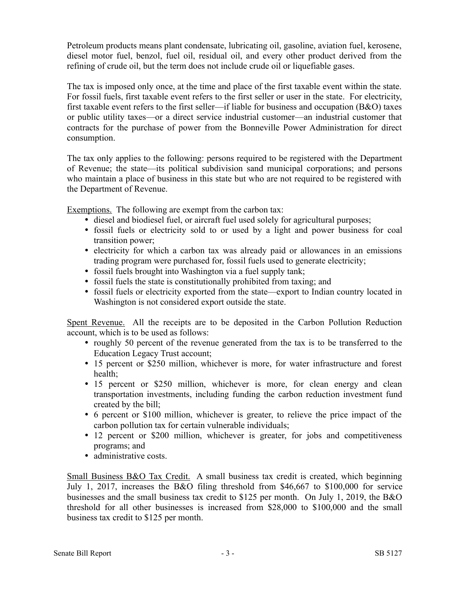Petroleum products means plant condensate, lubricating oil, gasoline, aviation fuel, kerosene, diesel motor fuel, benzol, fuel oil, residual oil, and every other product derived from the refining of crude oil, but the term does not include crude oil or liquefiable gases.

The tax is imposed only once, at the time and place of the first taxable event within the state. For fossil fuels, first taxable event refers to the first seller or user in the state. For electricity, first taxable event refers to the first seller—if liable for business and occupation (B&O) taxes or public utility taxes—or a direct service industrial customer—an industrial customer that contracts for the purchase of power from the Bonneville Power Administration for direct consumption.

The tax only applies to the following: persons required to be registered with the Department of Revenue; the state—its political subdivision sand municipal corporations; and persons who maintain a place of business in this state but who are not required to be registered with the Department of Revenue.

Exemptions. The following are exempt from the carbon tax:

- diesel and biodiesel fuel, or aircraft fuel used solely for agricultural purposes;
- fossil fuels or electricity sold to or used by a light and power business for coal transition power;
- electricity for which a carbon tax was already paid or allowances in an emissions trading program were purchased for, fossil fuels used to generate electricity;
- fossil fuels brought into Washington via a fuel supply tank;
- fossil fuels the state is constitutionally prohibited from taxing; and
- fossil fuels or electricity exported from the state—export to Indian country located in Washington is not considered export outside the state.

Spent Revenue. All the receipts are to be deposited in the Carbon Pollution Reduction account, which is to be used as follows:

- roughly 50 percent of the revenue generated from the tax is to be transferred to the Education Legacy Trust account;
- 15 percent or \$250 million, whichever is more, for water infrastructure and forest health;
- 15 percent or \$250 million, whichever is more, for clean energy and clean transportation investments, including funding the carbon reduction investment fund created by the bill;
- 6 percent or \$100 million, whichever is greater, to relieve the price impact of the carbon pollution tax for certain vulnerable individuals;
- 12 percent or \$200 million, whichever is greater, for jobs and competitiveness programs; and
- administrative costs.

Small Business B&O Tax Credit. A small business tax credit is created, which beginning July 1, 2017, increases the B&O filing threshold from \$46,667 to \$100,000 for service businesses and the small business tax credit to \$125 per month. On July 1, 2019, the B&O threshold for all other businesses is increased from \$28,000 to \$100,000 and the small business tax credit to \$125 per month.